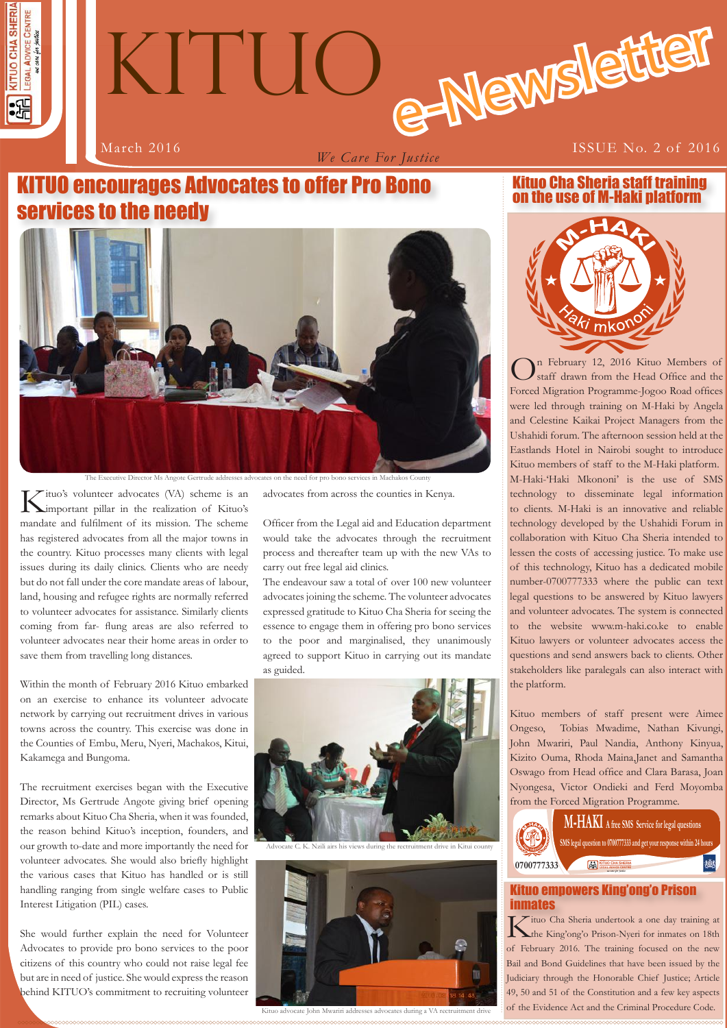



*We Care For Justice*

# KITUO encourages Advocates to offer Pro Bono services to the needy



The Executive Director Ms Angote Gertrude addresses advocates on the need for pro bono services in Machako

Kituo's volunteer advocates (VA) scheme is an important pillar in the realization of Kituo's mandate and fulfilment of its mission. The scheme has registered advocates from all the major towns in the country. Kituo processes many clients with legal issues during its daily clinics. Clients who are needy but do not fall under the core mandate areas of labour, land, housing and refugee rights are normally referred to volunteer advocates for assistance. Similarly clients coming from far- flung areas are also referred to volunteer advocates near their home areas in order to save them from travelling long distances.

Within the month of February 2016 Kituo embarked on an exercise to enhance its volunteer advocate network by carrying out recruitment drives in various towns across the country. This exercise was done in the Counties of Embu, Meru, Nyeri, Machakos, Kitui, Kakamega and Bungoma.

The recruitment exercises began with the Executive Director, Ms Gertrude Angote giving brief opening remarks about Kituo Cha Sheria, when it was founded, the reason behind Kituo's inception, founders, and our growth to-date and more importantly the need for volunteer advocates. She would also briefly highlight the various cases that Kituo has handled or is still handling ranging from single welfare cases to Public Interest Litigation (PIL) cases.

She would further explain the need for Volunteer Advocates to provide pro bono services to the poor citizens of this country who could not raise legal fee but are in need of justice. She would express the reason behind KITUO's commitment to recruiting volunteer advocates from across the counties in Kenya.

Officer from the Legal aid and Education department would take the advocates through the recruitment process and thereafter team up with the new VAs to carry out free legal aid clinics.

The endeavour saw a total of over 100 new volunteer advocates joining the scheme. The volunteer advocates expressed gratitude to Kituo Cha Sheria for seeing the essence to engage them in offering pro bono services to the poor and marginalised, they unanimously agreed to support Kituo in carrying out its mandate as guided.





Kituo advocate John Mwariri addresses advocates during a VA rectruitment drive

on the use of M-Haki platform

mko<sup>r</sup>

Kituo Cha Sheria staff training

On February 12, 2016 Kituo Members of staff drawn from the Head Office and the Forced Migration Programme-Jogoo Road offices were led through training on M-Haki by Angela and Celestine Kaikai Project Managers from the Ushahidi forum. The afternoon session held at the Eastlands Hotel in Nairobi sought to introduce Kituo members of staff to the M-Haki platform. M-Haki-'Haki Mkononi' is the use of SMS technology to disseminate legal information to clients. M-Haki is an innovative and reliable technology developed by the Ushahidi Forum in collaboration with Kituo Cha Sheria intended to lessen the costs of accessing justice. To make use of this technology, Kituo has a dedicated mobile number-0700777333 where the public can text legal questions to be answered by Kituo lawyers and volunteer advocates. The system is connected to the website www.m-haki.co.ke to enable Kituo lawyers or volunteer advocates access the questions and send answers back to clients. Other stakeholders like paralegals can also interact with the platform.

Kituo members of staff present were Aimee Ongeso, Tobias Mwadime, Nathan Kivungi, John Mwariri, Paul Nandia, Anthony Kinyua, Kizito Ouma, Rhoda Maina,Janet and Samantha Oswago from Head office and Clara Barasa, Joan Nyongesa, Victor Ondieki and Ferd Moyomba from the Forced Migration Programme.



# Kituo empowers King'ong'o Prison **inmates**<br>T *T* ituo Cha Sheria undertook a one day training at

**1** of the Evidence Act and the Criminal Procedure Code. Kituo Cha Sheria undertook a one day training at the King'ong'o Prison-Nyeri for inmates on 18th of February 2016. The training focused on the new Bail and Bond Guidelines that have been issued by the Judiciary through the Honorable Chief Justice; Article 49, 50 and 51 of the Constitution and a few key aspects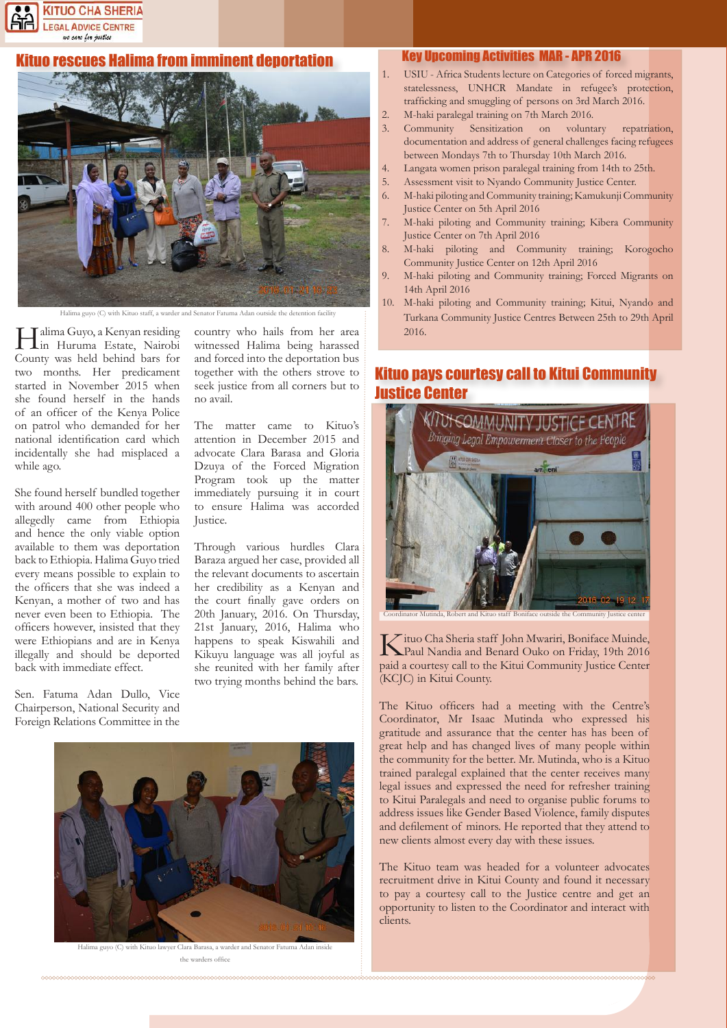

### tuo rescues Halima from imminent deportation



Halima guyo (C) with Kituo staff, a warder and Senator Fatuma Adan outside the deter-

Halima Guyo, a Kenyan residing in Huruma Estate, Nairobi County was held behind bars for two months. Her predicament started in November 2015 when she found herself in the hands of an officer of the Kenya Police on patrol who demanded for her national identification card which incidentally she had misplaced a while ago.

She found herself bundled together with around 400 other people who allegedly came from Ethiopia and hence the only viable option available to them was deportation back to Ethiopia. Halima Guyo tried every means possible to explain to the officers that she was indeed a Kenyan, a mother of two and has never even been to Ethiopia. The officers however, insisted that they were Ethiopians and are in Kenya illegally and should be deported back with immediate effect.

Sen. Fatuma Adan Dullo, Vice Chairperson, National Security and Foreign Relations Committee in the

country who hails from her area witnessed Halima being harassed and forced into the deportation bus together with the others strove to seek justice from all corners but to no avail.

The matter came to Kituo's attention in December 2015 and advocate Clara Barasa and Gloria Dzuya of the Forced Migration Program took up the matter immediately pursuing it in court to ensure Halima was accorded Justice.

Through various hurdles Clara Baraza argued her case, provided all the relevant documents to ascertain her credibility as a Kenyan and the court finally gave orders on 20th January, 2016. On Thursday, 21st January, 2016, Halima who happens to speak Kiswahili and Kikuyu language was all joyful as she reunited with her family after two trying months behind the bars.



Halima guyo (C) with Kituo lawyer Clara Barasa, a warder and Senator Fatuma Adan inside the warders office

#### Key Upcoming Activities MAR - APR 2016

- 1. USIU Africa Students lecture on Categories of forced migrants, statelessness, UNHCR Mandate in refugee's protection, trafficking and smuggling of persons on 3rd March 2016.
- 2. M-haki paralegal training on 7th March 2016.
- 3. Community Sensitization on voluntary repatriation, documentation and address of general challenges facing refugees between Mondays 7th to Thursday 10th March 2016.
- 4. Langata women prison paralegal training from 14th to 25th.
- 5. Assessment visit to Nyando Community Justice Center.
- 6. M-haki piloting and Community training; Kamukunji Community Justice Center on 5th April 2016
- 7. M-haki piloting and Community training; Kibera Community Justice Center on 7th April 2016
- 8. M-haki piloting and Community training; Korogocho Community Justice Center on 12th April 2016
- 9. M-haki piloting and Community training; Forced Migrants on 14th April 2016
- 10. M-haki piloting and Community training; Kitui, Nyando and Turkana Community Justice Centres Between 25th to 29th April 2016.

# Kituo pays courtesy call to Kitui Community Justice Center



Kituo Cha Sheria staff John Mwariri, Boniface Muinde, Paul Nandia and Benard Ouko on Friday, 19th 2016 paid a courtesy call to the Kitui Community Justice Center (KCJC) in Kitui County.

The Kituo officers had a meeting with the Centre's Coordinator, Mr Isaac Mutinda who expressed his gratitude and assurance that the center has has been of great help and has changed lives of many people within the community for the better. Mr. Mutinda, who is a Kituo trained paralegal explained that the center receives many legal issues and expressed the need for refresher training to Kitui Paralegals and need to organise public forums to address issues like Gender Based Violence, family disputes and defilement of minors. He reported that they attend to new clients almost every day with these issues.

The Kituo team was headed for a volunteer advocates recruitment drive in Kitui County and found it necessary to pay a courtesy call to the Justice centre and get an opportunity to listen to the Coordinator and interact with clients.